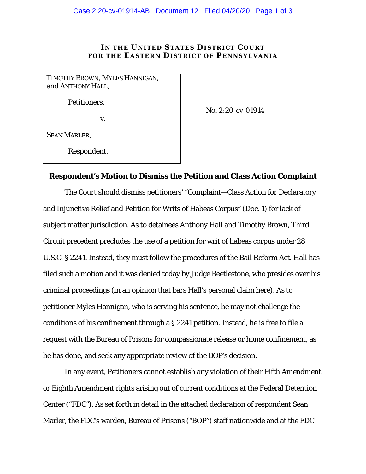## **IN THE UNITED STATES DISTRICT COURT FOR THE EASTERN DISTRICT OF PENNSYLVANIA**

TIMOTHY BROWN, MYLES HANNIGAN, and ANTHONY HALL,

Petitioners,

v.

No. 2:20-cv-01914

SEAN MARLER,

Respondent.

## **Respondent's Motion to Dismiss the Petition and Class Action Complaint**

The Court should dismiss petitioners' "Complaint—Class Action for Declaratory and Injunctive Relief and Petition for Writs of Habeas Corpus" (Doc. 1) for lack of subject matter jurisdiction. As to detainees Anthony Hall and Timothy Brown, Third Circuit precedent precludes the use of a petition for writ of habeas corpus under 28 U.S.C. § 2241. Instead, they must follow the procedures of the Bail Reform Act. Hall has filed such a motion and it was denied today by Judge Beetlestone, who presides over his criminal proceedings (in an opinion that bars Hall's personal claim here). As to petitioner Myles Hannigan, who is serving his sentence, he may not challenge the conditions of his confinement through a § 2241 petition. Instead, he is free to file a request with the Bureau of Prisons for compassionate release or home confinement, as he has done, and seek any appropriate review of the BOP's decision.

In any event, Petitioners cannot establish any violation of their Fifth Amendment or Eighth Amendment rights arising out of current conditions at the Federal Detention Center ("FDC"). As set forth in detail in the attached declaration of respondent Sean Marler, the FDC's warden, Bureau of Prisons ("BOP") staff nationwide and at the FDC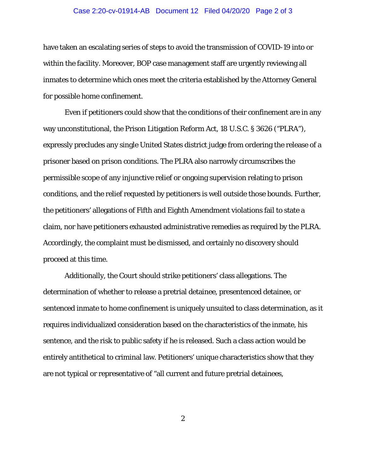## Case 2:20-cv-01914-AB Document 12 Filed 04/20/20 Page 2 of 3

have taken an escalating series of steps to avoid the transmission of COVID-19 into or within the facility. Moreover, BOP case management staff are urgently reviewing all inmates to determine which ones meet the criteria established by the Attorney General for possible home confinement.

Even if petitioners could show that the conditions of their confinement are in any way unconstitutional, the Prison Litigation Reform Act, 18 U.S.C. § 3626 ("PLRA"), expressly precludes any single United States district judge from ordering the release of a prisoner based on prison conditions. The PLRA also narrowly circumscribes the permissible scope of any injunctive relief or ongoing supervision relating to prison conditions, and the relief requested by petitioners is well outside those bounds. Further, the petitioners' allegations of Fifth and Eighth Amendment violations fail to state a claim, nor have petitioners exhausted administrative remedies as required by the PLRA. Accordingly, the complaint must be dismissed, and certainly no discovery should proceed at this time.

Additionally, the Court should strike petitioners' class allegations. The determination of whether to release a pretrial detainee, presentenced detainee, or sentenced inmate to home confinement is uniquely unsuited to class determination, as it requires individualized consideration based on the characteristics of the inmate, his sentence, and the risk to public safety if he is released. Such a class action would be entirely antithetical to criminal law. Petitioners' unique characteristics show that they are not typical or representative of "all current and future pretrial detainees,

2